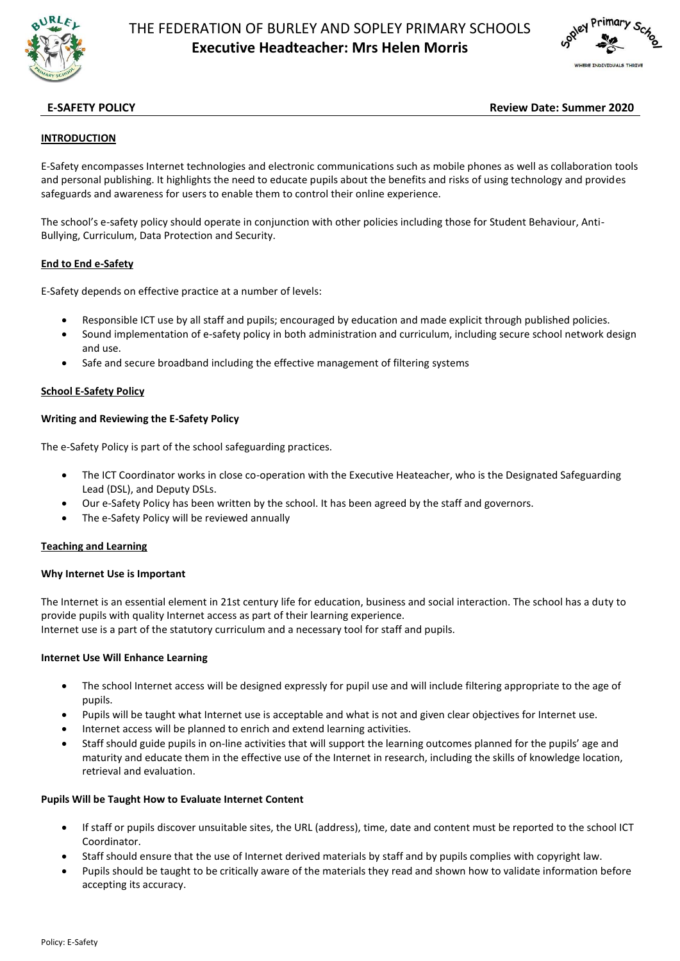

# THE FEDERATION OF BURLEY AND SOPLEY PRIMARY SCHOOLS **Executive Headteacher: Mrs Helen Morris**



# **E-SAFETY POLICY Review Date: Summer 2020**

#### **INTRODUCTION**

E-Safety encompasses Internet technologies and electronic communications such as mobile phones as well as collaboration tools and personal publishing. It highlights the need to educate pupils about the benefits and risks of using technology and provides safeguards and awareness for users to enable them to control their online experience.

The school's e-safety policy should operate in conjunction with other policies including those for Student Behaviour, Anti-Bullying, Curriculum, Data Protection and Security.

#### **End to End e-Safety**

E-Safety depends on effective practice at a number of levels:

- Responsible ICT use by all staff and pupils; encouraged by education and made explicit through published policies.
- Sound implementation of e-safety policy in both administration and curriculum, including secure school network design and use.
- Safe and secure broadband including the effective management of filtering systems

#### **School E-Safety Policy**

#### **Writing and Reviewing the E-Safety Policy**

The e-Safety Policy is part of the school safeguarding practices.

- The ICT Coordinator works in close co-operation with the Executive Heateacher, who is the Designated Safeguarding Lead (DSL), and Deputy DSLs.
- Our e-Safety Policy has been written by the school. It has been agreed by the staff and governors.
- The e-Safety Policy will be reviewed annually

#### **Teaching and Learning**

#### **Why Internet Use is Important**

The Internet is an essential element in 21st century life for education, business and social interaction. The school has a duty to provide pupils with quality Internet access as part of their learning experience.

Internet use is a part of the statutory curriculum and a necessary tool for staff and pupils.

#### **Internet Use Will Enhance Learning**

- The school Internet access will be designed expressly for pupil use and will include filtering appropriate to the age of pupils.
- Pupils will be taught what Internet use is acceptable and what is not and given clear objectives for Internet use.
- Internet access will be planned to enrich and extend learning activities.
- Staff should guide pupils in on-line activities that will support the learning outcomes planned for the pupils' age and maturity and educate them in the effective use of the Internet in research, including the skills of knowledge location, retrieval and evaluation.

#### **Pupils Will be Taught How to Evaluate Internet Content**

- If staff or pupils discover unsuitable sites, the URL (address), time, date and content must be reported to the school ICT Coordinator.
- Staff should ensure that the use of Internet derived materials by staff and by pupils complies with copyright law.
- Pupils should be taught to be critically aware of the materials they read and shown how to validate information before accepting its accuracy.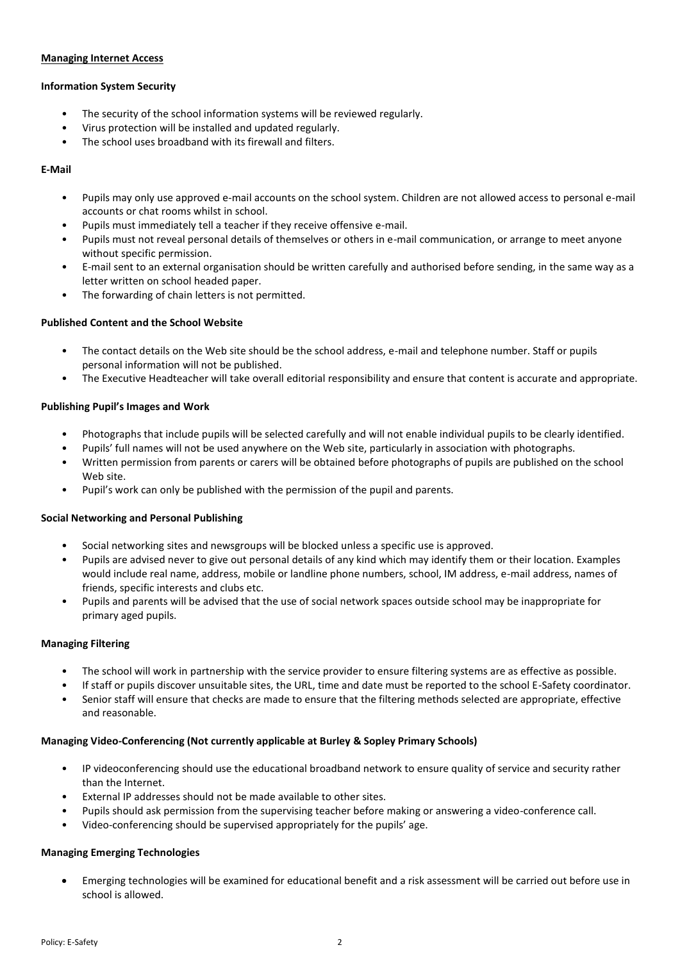#### **Managing Internet Access**

## **Information System Security**

- The security of the school information systems will be reviewed regularly.
- Virus protection will be installed and updated regularly.
- The school uses broadband with its firewall and filters.

## **E-Mail**

- Pupils may only use approved e-mail accounts on the school system. Children are not allowed access to personal e-mail accounts or chat rooms whilst in school.
- Pupils must immediately tell a teacher if they receive offensive e-mail.
- Pupils must not reveal personal details of themselves or others in e-mail communication, or arrange to meet anyone without specific permission.
- E-mail sent to an external organisation should be written carefully and authorised before sending, in the same way as a letter written on school headed paper.
- The forwarding of chain letters is not permitted.

#### **Published Content and the School Website**

- The contact details on the Web site should be the school address, e-mail and telephone number. Staff or pupils personal information will not be published.
- The Executive Headteacher will take overall editorial responsibility and ensure that content is accurate and appropriate.

# **Publishing Pupil's Images and Work**

- Photographs that include pupils will be selected carefully and will not enable individual pupils to be clearly identified.
- Pupils' full names will not be used anywhere on the Web site, particularly in association with photographs.
- Written permission from parents or carers will be obtained before photographs of pupils are published on the school Web site.
- Pupil's work can only be published with the permission of the pupil and parents.

#### **Social Networking and Personal Publishing**

- Social networking sites and newsgroups will be blocked unless a specific use is approved.
- Pupils are advised never to give out personal details of any kind which may identify them or their location. Examples would include real name, address, mobile or landline phone numbers, school, IM address, e-mail address, names of friends, specific interests and clubs etc.
- Pupils and parents will be advised that the use of social network spaces outside school may be inappropriate for primary aged pupils.

#### **Managing Filtering**

- The school will work in partnership with the service provider to ensure filtering systems are as effective as possible.
- If staff or pupils discover unsuitable sites, the URL, time and date must be reported to the school E-Safety coordinator.
- Senior staff will ensure that checks are made to ensure that the filtering methods selected are appropriate, effective and reasonable.

# **Managing Video-Conferencing (Not currently applicable at Burley & Sopley Primary Schools)**

- IP videoconferencing should use the educational broadband network to ensure quality of service and security rather than the Internet.
- External IP addresses should not be made available to other sites.
- Pupils should ask permission from the supervising teacher before making or answering a video-conference call.
- Video-conferencing should be supervised appropriately for the pupils' age.

#### **Managing Emerging Technologies**

 Emerging technologies will be examined for educational benefit and a risk assessment will be carried out before use in school is allowed.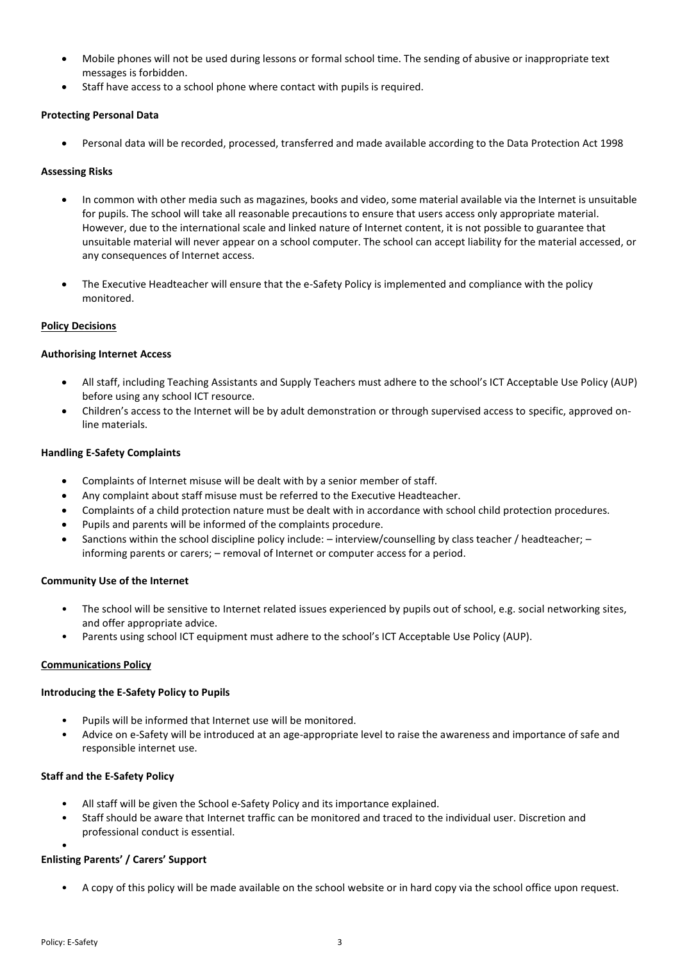- Mobile phones will not be used during lessons or formal school time. The sending of abusive or inappropriate text messages is forbidden.
- Staff have access to a school phone where contact with pupils is required.

# **Protecting Personal Data**

Personal data will be recorded, processed, transferred and made available according to the Data Protection Act 1998

#### **Assessing Risks**

- In common with other media such as magazines, books and video, some material available via the Internet is unsuitable for pupils. The school will take all reasonable precautions to ensure that users access only appropriate material. However, due to the international scale and linked nature of Internet content, it is not possible to guarantee that unsuitable material will never appear on a school computer. The school can accept liability for the material accessed, or any consequences of Internet access.
- The Executive Headteacher will ensure that the e-Safety Policy is implemented and compliance with the policy monitored.

# **Policy Decisions**

#### **Authorising Internet Access**

- All staff, including Teaching Assistants and Supply Teachers must adhere to the school's ICT Acceptable Use Policy (AUP) before using any school ICT resource.
- Children's access to the Internet will be by adult demonstration or through supervised access to specific, approved online materials.

#### **Handling E-Safety Complaints**

- Complaints of Internet misuse will be dealt with by a senior member of staff.
- Any complaint about staff misuse must be referred to the Executive Headteacher.
- Complaints of a child protection nature must be dealt with in accordance with school child protection procedures.
- Pupils and parents will be informed of the complaints procedure.
- Sanctions within the school discipline policy include: interview/counselling by class teacher / headteacher; informing parents or carers; – removal of Internet or computer access for a period.

#### **Community Use of the Internet**

- The school will be sensitive to Internet related issues experienced by pupils out of school, e.g. social networking sites, and offer appropriate advice.
- Parents using school ICT equipment must adhere to the school's ICT Acceptable Use Policy (AUP).

#### **Communications Policy**

#### **Introducing the E-Safety Policy to Pupils**

- Pupils will be informed that Internet use will be monitored.
- Advice on e-Safety will be introduced at an age-appropriate level to raise the awareness and importance of safe and responsible internet use.

#### **Staff and the E-Safety Policy**

- All staff will be given the School e-Safety Policy and its importance explained.
- Staff should be aware that Internet traffic can be monitored and traced to the individual user. Discretion and professional conduct is essential.

#### **Enlisting Parents' / Carers' Support**

• A copy of this policy will be made available on the school website or in hard copy via the school office upon request.

•